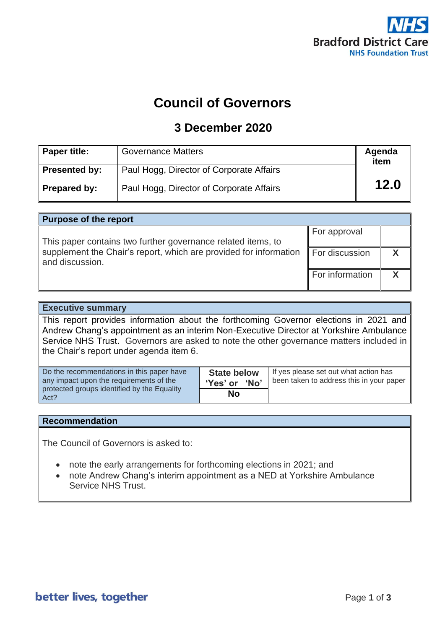

# **Council of Governors**

### **3 December 2020**

| Paper title:  | <b>Governance Matters</b>                | Agenda<br>item |
|---------------|------------------------------------------|----------------|
| Presented by: | Paul Hogg, Director of Corporate Affairs |                |
| Prepared by:  | Paul Hogg, Director of Corporate Affairs | 12.0           |

| <b>Purpose of the report</b>                                                         |                 |  |  |
|--------------------------------------------------------------------------------------|-----------------|--|--|
| This paper contains two further governance related items, to                         | For approval    |  |  |
| supplement the Chair's report, which are provided for information<br>and discussion. | For discussion  |  |  |
|                                                                                      | For information |  |  |

### **Executive summary**

This report provides information about the forthcoming Governor elections in 2021 and Andrew Chang's appointment as an interim Non-Executive Director at Yorkshire Ambulance Service NHS Trust. Governors are asked to note the other governance matters included in the Chair's report under agenda item 6.

| Do the recommendations in this paper have           | <b>State below</b> | If yes please set out what action has    |
|-----------------------------------------------------|--------------------|------------------------------------------|
| any impact upon the requirements of the             | 'Yes' or 'No'      | been taken to address this in your paper |
| protected groups identified by the Equality<br>Act? | No                 |                                          |

#### **Recommendation**

The Council of Governors is asked to:

- note the early arrangements for forthcoming elections in 2021; and
- note Andrew Chang's interim appointment as a NED at Yorkshire Ambulance Service NHS Trust.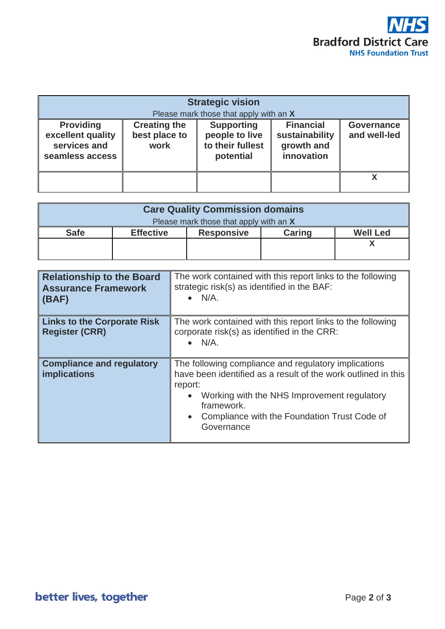

| <b>Strategic vision</b><br>Please mark those that apply with an X        |                                              |                                                                      |                                                                |                                   |
|--------------------------------------------------------------------------|----------------------------------------------|----------------------------------------------------------------------|----------------------------------------------------------------|-----------------------------------|
| <b>Providing</b><br>excellent quality<br>services and<br>seamless access | <b>Creating the</b><br>best place to<br>work | <b>Supporting</b><br>people to live<br>to their fullest<br>potential | <b>Financial</b><br>sustainability<br>growth and<br>innovation | <b>Governance</b><br>and well-led |
|                                                                          |                                              |                                                                      |                                                                | χ                                 |

| <b>Care Quality Commission domains</b> |                  |                   |               |                 |
|----------------------------------------|------------------|-------------------|---------------|-----------------|
| Please mark those that apply with an X |                  |                   |               |                 |
| <b>Safe</b>                            | <b>Effective</b> | <b>Responsive</b> | <b>Caring</b> | <b>Well Led</b> |
|                                        |                  |                   |               |                 |
|                                        |                  |                   |               |                 |

| <b>Relationship to the Board</b><br><b>Assurance Framework</b><br>(BAF) | The work contained with this report links to the following<br>strategic risk(s) as identified in the BAF:<br>$\bullet$ N/A.                                                                                                                                              |  |
|-------------------------------------------------------------------------|--------------------------------------------------------------------------------------------------------------------------------------------------------------------------------------------------------------------------------------------------------------------------|--|
| <b>Links to the Corporate Risk</b><br><b>Register (CRR)</b>             | The work contained with this report links to the following<br>corporate risk(s) as identified in the CRR:<br>$\bullet$ N/A.                                                                                                                                              |  |
| <b>Compliance and regulatory</b><br><b>implications</b>                 | The following compliance and regulatory implications<br>have been identified as a result of the work outlined in this<br>report:<br>Working with the NHS Improvement regulatory<br>framework.<br>Compliance with the Foundation Trust Code of<br>$\bullet$<br>Governance |  |